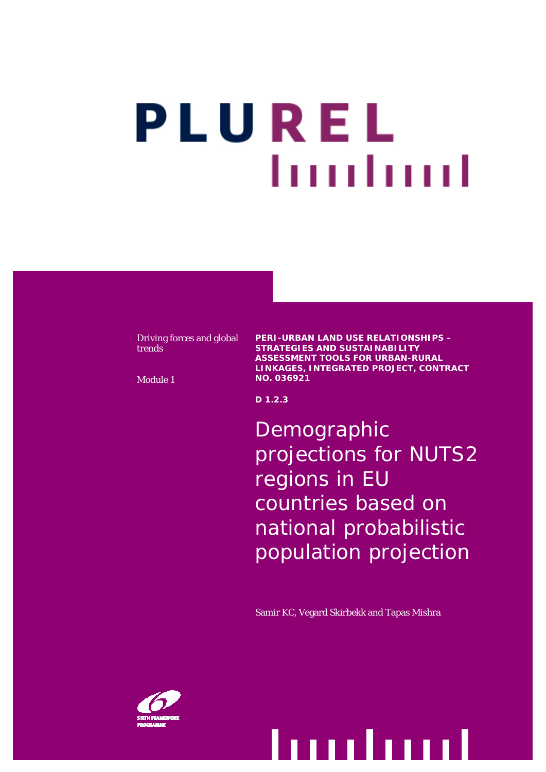# PLUREL luuduud

Driving forces and global trends

Module 1

**PERI-URBAN LAND USE RELATIONSHIPS – STRATEGIES AND SUSTAINABILITY ASSESSMENT TOOLS FOR URBAN-RURAL LINKAGES, INTEGRATED PROJECT, CONTRACT NO. 036921** 

**D 1.2.3** 

Demographic projections for NUTS2 regions in EU countries based on national probabilistic population projection

Samir KC, Vegard Skirbekk and Tapas Mishra

Demographic projections for NUTS2 regions in EU countries based on national probabilistic population projection

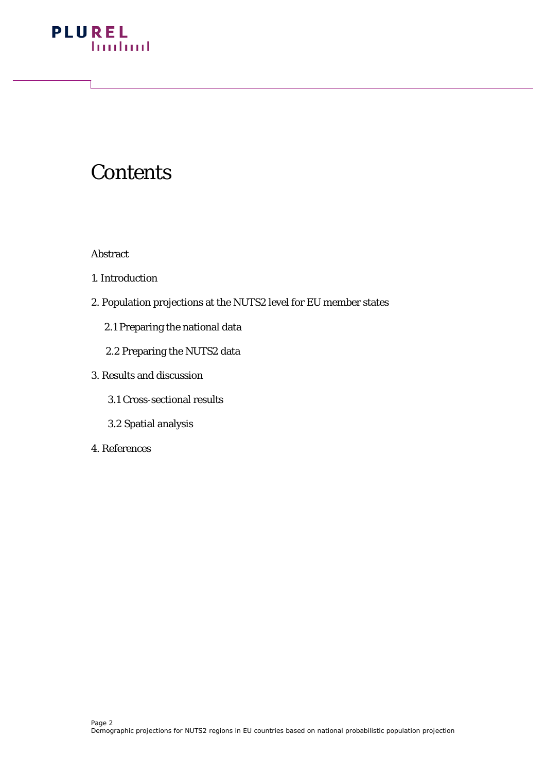

## **Contents**

Abstract

- 1. Introduction
- 2. Population projections at the NUTS2 level for EU member states
	- 2.1 Preparing the national data
	- 2.2 Preparing the NUTS2 data
- 3. Results and discussion
	- 3.1 Cross-sectional results
	- 3.2 Spatial analysis
- 4. References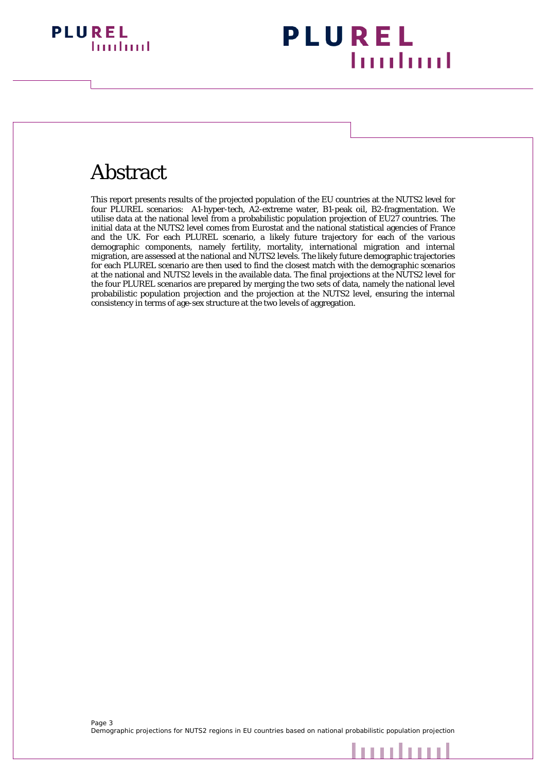

## **PLUREL Imuland**

## Abstract

This report presents results of the projected population of the EU countries at the NUTS2 level for four PLUREL scenarios: A1-hyper-tech, A2-extreme water, B1-peak oil, B2-fragmentation. We utilise data at the national level from a probabilistic population projection of EU27 countries. The initial data at the NUTS2 level comes from Eurostat and the national statistical agencies of France and the UK. For each PLUREL scenario, a likely future trajectory for each of the various demographic components, namely fertility, mortality, international migration and internal migration, are assessed at the national and NUTS2 levels. The likely future demographic trajectories for each PLUREL scenario are then used to find the closest match with the demographic scenarios at the national and NUTS2 levels in the available data. The final projections at the NUTS2 level for the four PLUREL scenarios are prepared by merging the two sets of data, namely the national level probabilistic population projection and the projection at the NUTS2 level, ensuring the internal consistency in terms of age-sex structure at the two levels of aggregation.

mulaad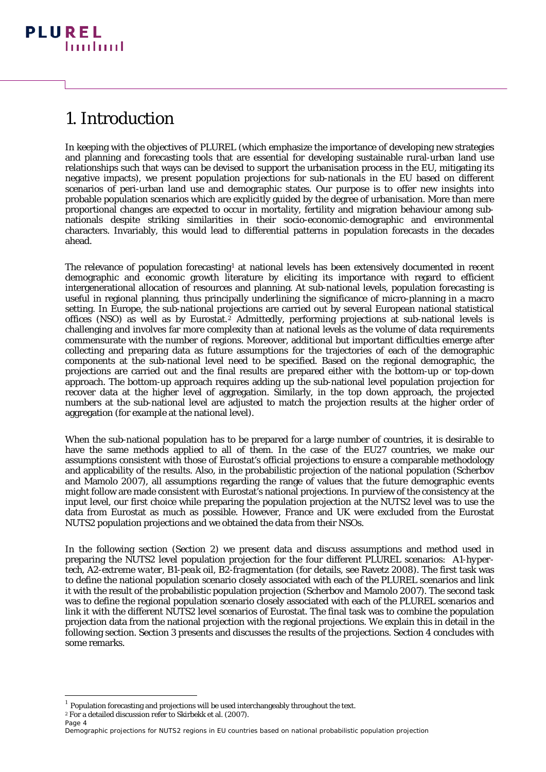## 1. Introduction

In keeping with the objectives of PLUREL (which emphasize the importance of developing new strategies and planning and forecasting tools that are essential for developing sustainable rural-urban land use relationships such that ways can be devised to support the urbanisation process in the EU, mitigating its negative impacts), we present population projections for sub-nationals in the EU based on different scenarios of peri-urban land use and demographic states. Our purpose is to offer new insights into probable population scenarios which are explicitly guided by the degree of urbanisation. More than mere proportional changes are expected to occur in mortality, fertility and migration behaviour among subnationals despite striking similarities in their socio-economic-demographic and environmental characters. Invariably, this would lead to differential patterns in population forecasts in the decades ahead.

The relevance of population forecasting<sup>[1](#page-3-0)</sup> at national levels has been extensively documented in recent demographic and economic growth literature by eliciting its importance with regard to efficient intergenerational allocation of resources and planning. At sub-national levels, population forecasting is useful in regional planning, thus principally underlining the significance of micro-planning in a macro setting. In Europe, the sub-national projections are carried out by several European national statistical offices (NSO) as well as by Eurostat.<sup>[2](#page-3-1)</sup> Admittedly, performing projections at sub-national levels is challenging and involves far more complexity than at national levels as the volume of data requirements commensurate with the number of regions. Moreover, additional but important difficulties emerge after collecting and preparing data as future assumptions for the trajectories of each of the demographic components at the sub-national level need to be specified. Based on the regional demographic, the projections are carried out and the final results are prepared either with the bottom-up or top-down approach. The bottom-up approach requires adding up the sub-national level population projection for recover data at the higher level of aggregation. Similarly, in the top down approach, the projected numbers at the sub-national level are adjusted to match the projection results at the higher order of aggregation (for example at the national level).

When the sub-national population has to be prepared for a large number of countries, it is desirable to have the same methods applied to all of them. In the case of the EU27 countries, we make our assumptions consistent with those of Eurostat's official projections to ensure a comparable methodology and applicability of the results. Also, in the probabilistic projection of the national population (Scherbov and Mamolo 2007), all assumptions regarding the range of values that the future demographic events might follow are made consistent with Eurostat's national projections. In purview of the consistency at the input level, our first choice while preparing the population projection at the NUTS2 level was to use the data from Eurostat as much as possible. However, France and UK were excluded from the Eurostat NUTS2 population projections and we obtained the data from their NSOs.

In the following section (Section 2) we present data and discuss assumptions and method used in preparing the NUTS2 level population projection for the four different PLUREL scenarios: *A1-hypertech, A2-extreme water, B1-peak oil, B2-fragmentation* (for details, see Ravetz 2008). The first task was to define the national population scenario closely associated with each of the PLUREL scenarios and link it with the result of the probabilistic population projection (Scherbov and Mamolo 2007). The second task was to define the regional population scenario closely associated with each of the PLUREL scenarios and link it with the different NUTS2 level scenarios of Eurostat. The final task was to combine the population projection data from the national projection with the regional projections. We explain this in detail in the following section. Section 3 presents and discusses the results of the projections. Section 4 concludes with some remarks.

1

<span id="page-3-0"></span> $^1$  Population forecasting and projections will be used interchangeably throughout the text.<br><sup>2</sup> For a detailed discussion refer to Skirbekk et al. (2007).

<span id="page-3-1"></span>

Page 4 Demographic projections for NUTS2 regions in EU countries based on national probabilistic population projection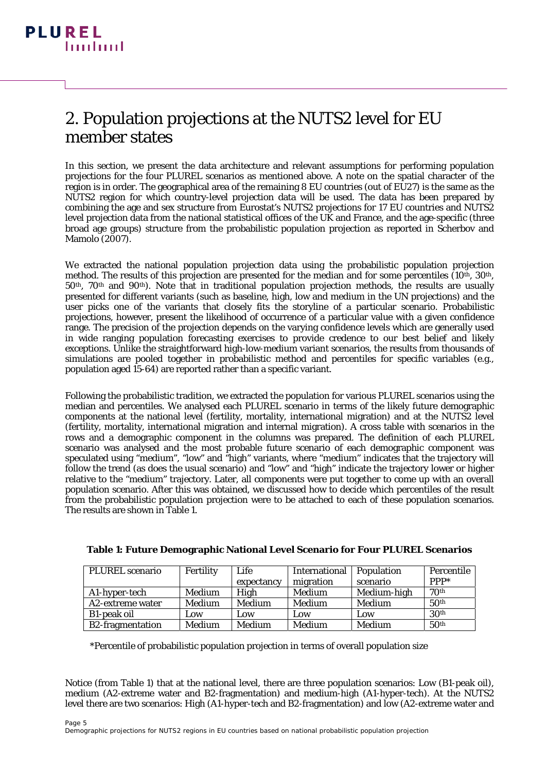### 2. Population projections at the NUTS2 level for EU member states

In this section, we present the data architecture and relevant assumptions for performing population projections for the four PLUREL scenarios as mentioned above. A note on the spatial character of the region is in order. The geographical area of the remaining 8 EU countries (out of EU27) is the same as the NUTS2 region for which country-level projection data will be used. The data has been prepared by combining the age and sex structure from Eurostat's NUTS2 projections for 17 EU countries and NUTS2 level projection data from the national statistical offices of the UK and France, and the age-specific (three broad age groups) structure from the probabilistic population projection as reported in Scherbov and Mamolo (2007).

We extracted the national population projection data using the probabilistic population projection method. The results of this projection are presented for the median and for some percentiles  $(10<sup>th</sup>, 30<sup>th</sup>)$ , 50th, 70th and 90th). Note that in traditional population projection methods, the results are usually presented for different variants (such as baseline, high, low and medium in the UN projections) and the user picks one of the variants that closely fits the storyline of a particular scenario. Probabilistic projections, however, present the likelihood of occurrence of a particular value with a given confidence range. The precision of the projection depends on the varying confidence levels which are generally used in wide ranging population forecasting exercises to provide credence to our best belief and likely exceptions. Unlike the straightforward high-low-medium variant scenarios, the results from thousands of simulations are pooled together in probabilistic method and percentiles for specific variables (e.g., population aged 15-64) are reported rather than a specific variant.

Following the probabilistic tradition, we extracted the population for various PLUREL scenarios using the median and percentiles. We analysed each PLUREL scenario in terms of the likely future demographic components at the national level (fertility, mortality, international migration) and at the NUTS2 level (fertility, mortality, international migration and internal migration). A cross table with scenarios in the rows and a demographic component in the columns was prepared. The definition of each PLUREL scenario was analysed and the most probable future scenario of each demographic component was speculated using "medium", "low" and "high" variants, where "medium" indicates that the trajectory will follow the trend (as does the usual scenario) and "low" and "high" indicate the trajectory lower or higher relative to the "medium" trajectory. Later, all components were put together to come up with an overall population scenario. After this was obtained, we discussed how to decide which percentiles of the result from the probabilistic population projection were to be attached to each of these population scenarios. The results are shown in Table 1.

| PLUREL scenario         | Fertility | Life       | International   Population |             | Percentile       |
|-------------------------|-----------|------------|----------------------------|-------------|------------------|
|                         |           | expectancy | migration                  | scenario    | $PPP*$           |
| A1-hyper-tech           | Medium    | High       | Medium                     | Medium-high | 70 <sup>th</sup> |
| A2-extreme water        | Medium    | Medium     | Medium                     | Medium      | 50 <sup>th</sup> |
| B1-peak oil             | Low       | Low        | Low                        | Low         | 30 <sup>th</sup> |
| <b>B2-fragmentation</b> | Medium    | Medium     | Medium                     | Medium      | 50 <sup>th</sup> |

| Table 1: Future Demographic National Level Scenario for Four PLUREL Scenarios |  |  |  |
|-------------------------------------------------------------------------------|--|--|--|
|                                                                               |  |  |  |

\*Percentile of probabilistic population projection in terms of overall population size

Notice (from Table 1) that at the national level, there are three population scenarios: Low (B1-peak oil), medium (A2-extreme water and B2-fragmentation) and medium-high (A1-hyper-tech). At the NUTS2 level there are two scenarios: High (A1-hyper-tech and B2-fragmentation) and low (A2-extreme water and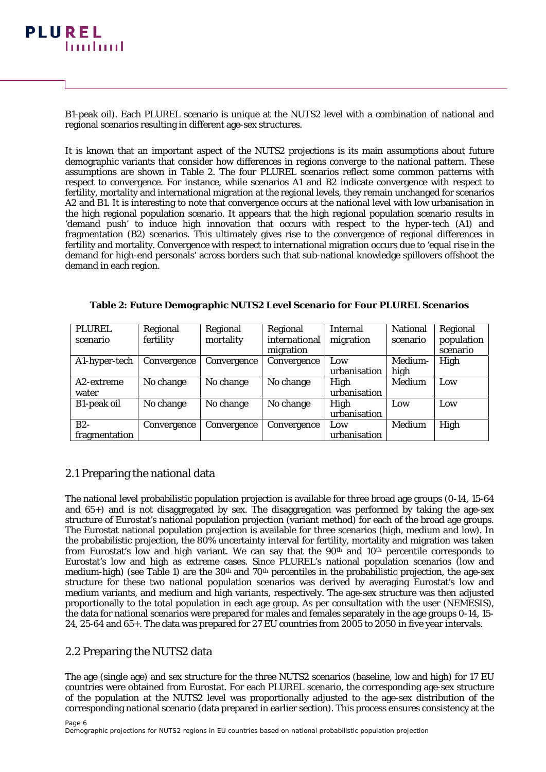

B1-peak oil). Each PLUREL scenario is unique at the NUTS2 level with a combination of national and regional scenarios resulting in different age-sex structures.

It is known that an important aspect of the NUTS2 projections is its main assumptions about future demographic variants that consider how differences in regions converge to the national pattern. These assumptions are shown in Table 2. The four PLUREL scenarios reflect some common patterns with respect to convergence. For instance, while scenarios A1 and B2 indicate convergence with respect to fertility, mortality and international migration at the regional levels, they remain unchanged for scenarios A2 and B1. It is interesting to note that convergence occurs at the national level with low urbanisation in the high regional population scenario. It appears that the high regional population scenario results in 'demand push' to induce high innovation that occurs with respect to the hyper-tech (A1) and fragmentation (B2) scenarios. This ultimately gives rise to the convergence of regional differences in fertility and mortality. Convergence with respect to international migration occurs due to 'equal rise in the demand for high-end personals' across borders such that sub-national knowledge spillovers offshoot the demand in each region.

**Table 2: Future Demographic NUTS2 Level Scenario for Four PLUREL Scenarios** 

| <b>PLUREL</b> | Regional    | Regional    | Regional      | <b>Internal</b> | <b>National</b> | Regional   |
|---------------|-------------|-------------|---------------|-----------------|-----------------|------------|
| scenario      | fertility   | mortality   | international | migration       | scenario        | population |
|               |             |             | migration     |                 |                 | scenario   |
| A1-hyper-tech | Convergence | Convergence | Convergence   | Low             | Medium-         | High       |
|               |             |             |               | urbanisation    | high            |            |
| A2-extreme    | No change   | No change   | No change     | High            | Medium          | Low        |
| water         |             |             |               | urbanisation    |                 |            |
| B1-peak oil   | No change   | No change   | No change     | High            | Low             | Low        |
|               |             |             |               | urbanisation    |                 |            |
| $B2-$         | Convergence | Convergence | Convergence   | Low             | Medium          | High       |
| fragmentation |             |             |               | urbanisation    |                 |            |

#### 2.1 Preparing the national data

The national level probabilistic population projection is available for three broad age groups (0-14, 15-64 and  $65+$ ) and is not disaggregated by sex. The disaggregation was performed by taking the age-sex structure of Eurostat's national population projection (variant method) for each of the broad age groups. The Eurostat national population projection is available for three scenarios (high, medium and low). In the probabilistic projection, the 80% uncertainty interval for fertility, mortality and migration was taken from Eurostat's low and high variant. We can say that the 90<sup>th</sup> and 10<sup>th</sup> percentile corresponds to Eurostat's low and high as extreme cases. Since PLUREL's national population scenarios (low and medium-high) (see Table 1) are the 30<sup>th</sup> and 70<sup>th</sup> percentiles in the probabilistic projection, the age-sex structure for these two national population scenarios was derived by averaging Eurostat's low and medium variants, and medium and high variants, respectively. The age-sex structure was then adjusted proportionally to the total population in each age group. As per consultation with the user (NEMESIS), the data for national scenarios were prepared for males and females separately in the age groups 0-14, 15- 24, 25-64 and 65+. The data was prepared for 27 EU countries from 2005 to 2050 in five year intervals.

#### 2.2 Preparing the NUTS2 data

The age (single age) and sex structure for the three NUTS2 scenarios (baseline, low and high) for 17 EU countries were obtained from Eurostat. For each PLUREL scenario, the corresponding age-sex structure of the population at the NUTS2 level was proportionally adjusted to the age-sex distribution of the corresponding national scenario (data prepared in earlier section). This process ensures consistency at the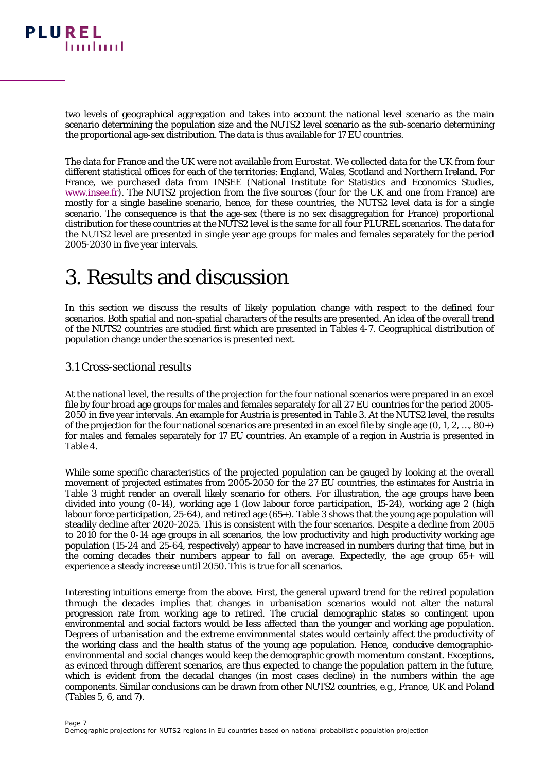

two levels of geographical aggregation and takes into account the national level scenario as the main scenario determining the population size and the NUTS2 level scenario as the sub-scenario determining the proportional age-sex distribution. The data is thus available for 17 EU countries.

The data for France and the UK were not available from Eurostat. We collected data for the UK from four different statistical offices for each of the territories: England, Wales, Scotland and Northern Ireland. For France, we purchased data from INSEE (National Institute for Statistics and Economics Studies, [www.insee.fr\)](http://www.insee.fr/). The NUTS2 projection from the five sources (four for the UK and one from France) are mostly for a single baseline scenario, hence, for these countries, the NUTS2 level data is for a single scenario. The consequence is that the age-sex (there is no sex disaggregation for France) proportional distribution for these countries at the NUTS2 level is the same for all four PLUREL scenarios. The data for the NUTS2 level are presented in single year age groups for males and females separately for the period 2005-2030 in five year intervals.

## 3. Results and discussion

In this section we discuss the results of likely population change with respect to the defined four scenarios. Both spatial and non-spatial characters of the results are presented. An idea of the overall trend of the NUTS2 countries are studied first which are presented in Tables 4-7. Geographical distribution of population change under the scenarios is presented next.

#### 3.1 Cross-sectional results

At the national level, the results of the projection for the four national scenarios were prepared in an excel file by four broad age groups for males and females separately for all 27 EU countries for the period 2005- 2050 in five year intervals. An example for Austria is presented in Table 3. At the NUTS2 level, the results of the projection for the four national scenarios are presented in an excel file by single age (0, 1, 2, …, 80+) for males and females separately for 17 EU countries. An example of a region in Austria is presented in Table 4.

While some specific characteristics of the projected population can be gauged by looking at the overall movement of projected estimates from 2005-2050 for the 27 EU countries, the estimates for Austria in Table 3 might render an overall likely scenario for others. For illustration, the age groups have been divided into young (0-14), working age 1 (low labour force participation, 15-24), working age 2 (high labour force participation, 25-64), and retired age (65+). Table 3 shows that the young age population will steadily decline after 2020-2025. This is consistent with the four scenarios. Despite a decline from 2005 to 2010 for the 0-14 age groups in all scenarios, the low productivity and high productivity working age population (15-24 and 25-64, respectively) appear to have increased in numbers during that time, but in the coming decades their numbers appear to fall on average. Expectedly, the age group 65+ will experience a steady increase until 2050. This is true for all scenarios.

Interesting intuitions emerge from the above. First, the general upward trend for the retired population through the decades implies that changes in urbanisation scenarios would not alter the natural progression rate from working age to retired. The crucial demographic states so contingent upon environmental and social factors would be less affected than the younger and working age population. Degrees of urbanisation and the extreme environmental states would certainly affect the productivity of the working class and the health status of the young age population. Hence, conducive demographicenvironmental and social changes would keep the demographic growth momentum constant. Exceptions, as evinced through different scenarios, are thus expected to change the population pattern in the future, which is evident from the decadal changes (in most cases decline) in the numbers within the age components. Similar conclusions can be drawn from other NUTS2 countries, e.g., France, UK and Poland (Tables 5, 6, and 7).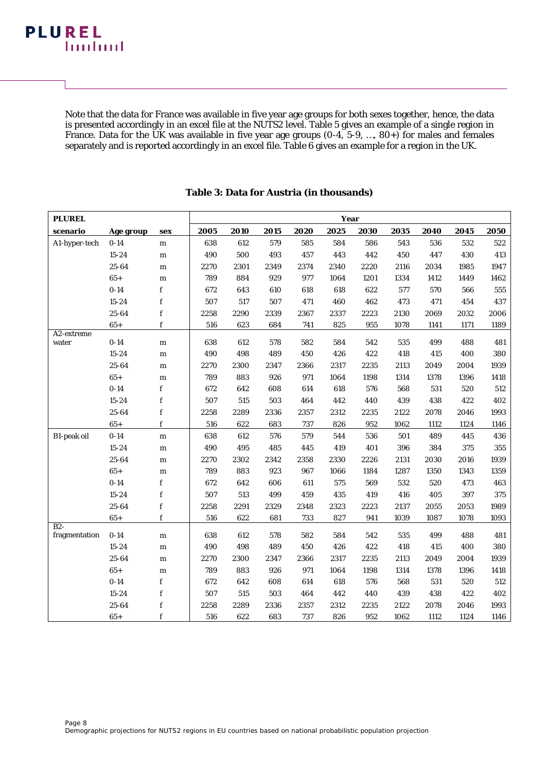Note that the data for France was available in five year age groups for both sexes together, hence, the data is presented accordingly in an excel file at the NUTS2 level. Table 5 gives an example of a single region in France. Data for the UK was available in five year age groups (0-4, 5-9, ..., 80+) for males and females separately and is reported accordingly in an excel file. Table 6 gives an example for a region in the UK.

| <b>PLUREL</b>       |           |             |      |      |      |      | <b>Year</b> |      |      |      |      |      |
|---------------------|-----------|-------------|------|------|------|------|-------------|------|------|------|------|------|
| scenario            | Age group | sex         | 2005 | 2010 | 2015 | 2020 | 2025        | 2030 | 2035 | 2040 | 2045 | 2050 |
| A1-hyper-tech       | $0 - 14$  | ${\bf m}$   | 638  | 612  | 579  | 585  | 584         | 586  | 543  | 536  | 532  | 522  |
|                     | $15 - 24$ | ${\bf m}$   | 490  | 500  | 493  | 457  | 443         | 442  | 450  | 447  | 430  | 413  |
|                     | 25-64     | ${\bf m}$   | 2270 | 2301 | 2349 | 2374 | 2340        | 2220 | 2116 | 2034 | 1985 | 1947 |
|                     | $65+$     | m           | 789  | 884  | 929  | 977  | 1064        | 1201 | 1334 | 1412 | 1449 | 1462 |
|                     | $0 - 14$  | $\mathbf f$ | 672  | 643  | 610  | 618  | 618         | 622  | 577  | 570  | 566  | 555  |
|                     | $15 - 24$ | f           | 507  | 517  | 507  | 471  | 460         | 462  | 473  | 471  | 454  | 437  |
|                     | 25-64     | $\mathbf f$ | 2258 | 2290 | 2339 | 2367 | 2337        | 2223 | 2130 | 2069 | 2032 | 2006 |
|                     | $65+$     | f           | 516  | 623  | 684  | 741  | 825         | 955  | 1078 | 1141 | 1171 | 1189 |
| A2-extreme<br>water | $0 - 14$  | ${\bf m}$   | 638  | 612  | 578  | 582  | 584         | 542  | 535  | 499  | 488  | 481  |
|                     | $15 - 24$ | m           | 490  | 498  | 489  | 450  | 426         | 422  | 418  | 415  | 400  | 380  |
|                     | 25-64     | ${\bf m}$   | 2270 | 2300 | 2347 | 2366 | 2317        | 2235 | 2113 | 2049 | 2004 | 1939 |
|                     | $65+$     | ${\bf m}$   | 789  | 883  | 926  | 971  | 1064        | 1198 | 1314 | 1378 | 1396 | 1418 |
|                     | $0 - 14$  | $\mathbf f$ | 672  | 642  | 608  | 614  | 618         | 576  | 568  | 531  | 520  | 512  |
|                     | $15 - 24$ | $\mathbf f$ | 507  | 515  | 503  | 464  | 442         | 440  | 439  | 438  | 422  | 402  |
|                     | 25-64     | $\mathbf f$ | 2258 | 2289 | 2336 | 2357 | 2312        | 2235 | 2122 | 2078 | 2046 | 1993 |
|                     | $65+$     | $\mathbf f$ | 516  | 622  | 683  | 737  | 826         | 952  | 1062 | 1112 | 1124 | 1146 |
| B1-peak oil         | $0 - 14$  | ${\bf m}$   | 638  | 612  | 576  | 579  | 544         | 536  | 501  | 489  | 445  | 436  |
|                     | $15 - 24$ | m           | 490  | 495  | 485  | 445  | 419         | 401  | 396  | 384  | 375  | 355  |
|                     | 25-64     | ${\bf m}$   | 2270 | 2302 | 2342 | 2358 | 2330        | 2226 | 2131 | 2030 | 2016 | 1939 |
|                     | $65+$     | ${\bf m}$   | 789  | 883  | 923  | 967  | 1066        | 1184 | 1287 | 1350 | 1343 | 1359 |
|                     | $0 - 14$  | f           | 672  | 642  | 606  | 611  | 575         | 569  | 532  | 520  | 473  | 463  |
|                     | $15 - 24$ | $\mathbf f$ | 507  | 513  | 499  | 459  | 435         | 419  | 416  | 405  | 397  | 375  |
|                     | 25-64     | $\mathbf f$ | 2258 | 2291 | 2329 | 2348 | 2323        | 2223 | 2137 | 2055 | 2053 | 1989 |
|                     | $65+$     | f           | 516  | 622  | 681  | 733  | 827         | 941  | 1039 | 1087 | 1078 | 1093 |
| $\overline{B2}$     | $0 - 14$  |             | 638  | 612  | 578  | 582  | 584         | 542  | 535  | 499  | 488  | 481  |
| fragmentation       |           | ${\bf m}$   |      |      |      |      |             |      |      |      |      |      |
|                     | $15 - 24$ | ${\bf m}$   | 490  | 498  | 489  | 450  | 426         | 422  | 418  | 415  | 400  | 380  |
|                     | 25-64     | m           | 2270 | 2300 | 2347 | 2366 | 2317        | 2235 | 2113 | 2049 | 2004 | 1939 |
|                     | $65+$     | ${\bf m}$   | 789  | 883  | 926  | 971  | 1064        | 1198 | 1314 | 1378 | 1396 | 1418 |
|                     | $0 - 14$  | $\mathbf f$ | 672  | 642  | 608  | 614  | 618         | 576  | 568  | 531  | 520  | 512  |
|                     | $15 - 24$ | $\mathbf f$ | 507  | 515  | 503  | 464  | 442         | 440  | 439  | 438  | 422  | 402  |
|                     | 25-64     | $\mathbf f$ | 2258 | 2289 | 2336 | 2357 | 2312        | 2235 | 2122 | 2078 | 2046 | 1993 |
|                     | $65+$     | $\mathbf f$ | 516  | 622  | 683  | 737  | 826         | 952  | 1062 | 1112 | 1124 | 1146 |

#### **Table 3: Data for Austria (in thousands)**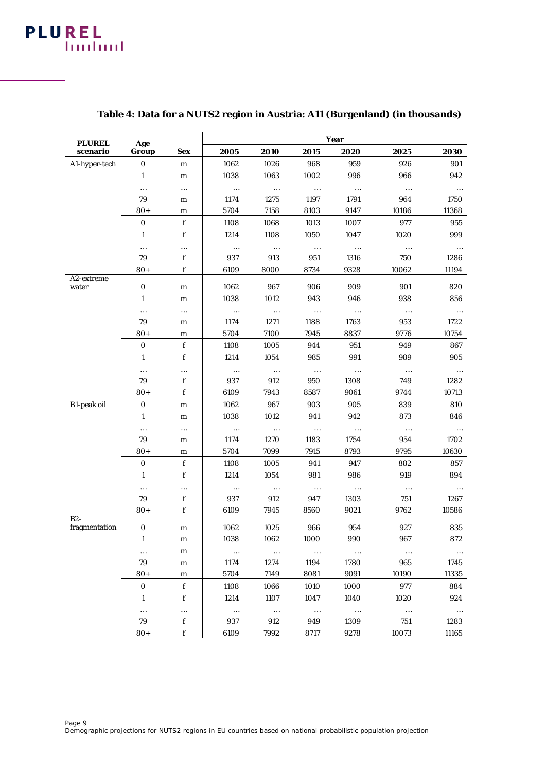| <b>PLUREL</b>       | Age          |               |                  |                  |                  | Year             |                 |                  |
|---------------------|--------------|---------------|------------------|------------------|------------------|------------------|-----------------|------------------|
| scenario            | Group        | <b>Sex</b>    | 2005             | 2010             | 2015             | 2020             | 2025            | 2030             |
| A1-hyper-tech       | $\bf{0}$     | ${\bf m}$     | 1062             | 1026             | 968              | 959              | 926             | 901              |
|                     | $\mathbf{1}$ | ${\bf m}$     | 1038             | 1063             | 1002             | 996              | 966             | 942              |
|                     |              |               | $\cdots$         | $\ldots$         | $\ldots$         | $\cdots$         | $\ldots$        | $\cdots$         |
|                     | 79           | m             | 1174             | 1275             | 1197             | 1791             | 964             | 1750             |
|                     | $80+$        | m             | 5704             | 7158             | 8103             | 9147             | 10186           | 11368            |
|                     | $\bf{0}$     | f             | 1108             | 1068             | 1013             | 1007             | 977             | 955              |
|                     | $\mathbf{1}$ | f             | 1214             | 1108             | 1050             | 1047             | 1020            | 999              |
|                     |              |               | $\cdots$         | $\cdots$         | $\cdots$         | $\cdots$         | $\cdots$        | $\ldots$         |
|                     | 79           | f             | 937              | 913              | 951              | 1316             | 750             | 1286             |
|                     | $80+$        | f             | 6109             | 8000             | 8734             | 9328             | 10062           | 11194            |
| A2-extreme<br>water | $\pmb{0}$    | ${\bf m}$     | 1062             | 967              | 906              | 909              | 901             | 820              |
|                     | 1            | ${\bf m}$     | 1038             | 1012             | 943              | 946              | 938             | 856              |
|                     |              |               |                  |                  |                  |                  |                 |                  |
|                     | <br>79       | $\cdots$<br>m | $\cdots$<br>1174 | $\cdots$<br>1271 | $\ldots$<br>1188 | $\ldots$<br>1763 | $\ldots$<br>953 | $\ldots$<br>1722 |
|                     | $80+$        | m             | 5704             | 7100             | 7945             | 8837             | 9776            | 10754            |
|                     |              | $\mathbf f$   |                  |                  |                  |                  |                 |                  |
|                     | $\pmb{0}$    | f             | 1108             | 1005             | 944              | 951<br>991       | 949             | 867              |
|                     | $\mathbf{1}$ |               | 1214             | 1054             | 985              |                  | 989             | 905              |
|                     |              |               | $\cdots$         | $\ldots$         | $\ldots$         | $\cdots$         | $\ldots$        | $\ldots$         |
|                     | 79           | f             | 937              | 912              | 950              | 1308             | 749             | 1282             |
|                     | $80+$        | f             | 6109             | 7943             | 8587             | 9061             | 9744            | 10713            |
| B1-peak oil         | $\pmb{0}$    | ${\bf m}$     | 1062             | 967              | 903              | 905              | 839             | 810              |
|                     | $\mathbf{1}$ | ${\bf m}$     | 1038             | 1012             | 941              | 942              | 873             | 846              |
|                     |              |               | $\cdots$         | $\ldots$         | $\cdots$         | $\ldots$         | $\ldots$        | $\cdots$         |
|                     | 79           | m             | 1174             | 1270             | 1183             | 1754             | 954             | 1702             |
|                     | $80+$        | m             | 5704             | 7099             | 7915             | 8793             | 9795            | 10630            |
|                     | $\bf{0}$     | $\mathbf f$   | 1108             | 1005             | 941              | 947              | 882             | 857              |
|                     | $\mathbf{1}$ | f             | 1214             | 1054             | 981              | 986              | 919             | 894              |
|                     |              |               | $\cdots$         | $\cdots$         | $\ldots$         | $\ldots$         | $\ldots$        | $\ldots$         |
|                     | 79           | f             | 937              | 912              | 947              | 1303             | 751             | 1267             |
| $B2-$               | $80+$        | f             | 6109             | 7945             | 8560             | 9021             | 9762            | 10586            |
| fragmentation       | $\bf{0}$     | ${\bf m}$     | 1062             | 1025             | 966              | 954              | 927             | 835              |
|                     | 1            | m             | 1038             | 1062             | 1000             | 990              | 967             | 872              |
|                     | $\cdots$     | m             | $\cdots$         | $\cdots$         | $\cdots$         | $\ldots$         | $\cdots$        | $\ldots$         |
|                     | 79           | m             | 1174             | 1274             | 1194             | 1780             | 965             | 1745             |
|                     | $80+$        | m             | 5704             | 7149             | 8081             | 9091             | 10190           | 11335            |
|                     | 0            | f             | 1108             | 1066             | 1010             | 1000             | 977             | 884              |
|                     | $\mathbf{1}$ | f             | 1214             | 1107             | 1047             | 1040             | 1020            | 924              |
|                     | $\cdots$     |               | $\cdots$         | $\cdots$         | $\cdots$         | $\sim$ $\sim$    | $\ldots$        | $\cdots$         |
|                     | 79           | f             | 937              | 912              | 949              | 1309             | 751             | 1283             |
|                     | $80+$        | f             | 6109             | 7992             | 8717             | 9278             | 10073           | 11165            |

#### **Table 4: Data for a NUTS2 region in Austria: A11 (Burgenland) (in thousands)**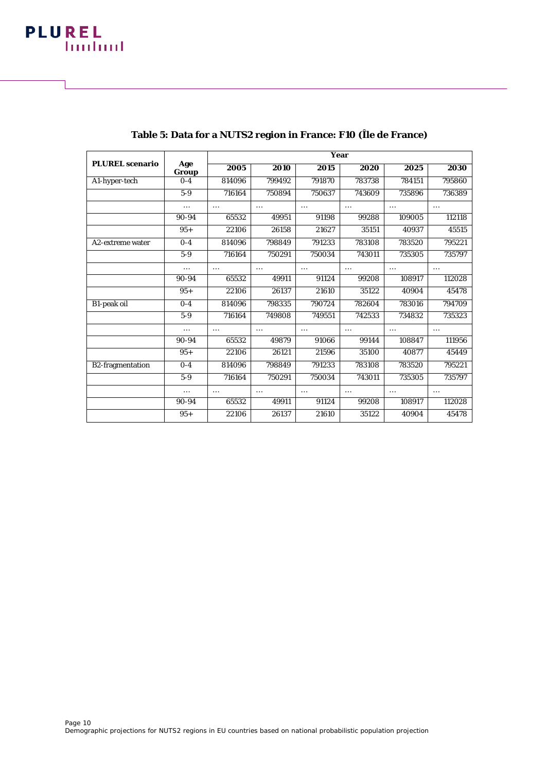|                         |              | Year     |          |          |          |          |          |  |  |
|-------------------------|--------------|----------|----------|----------|----------|----------|----------|--|--|
| <b>PLUREL</b> scenario  | Age<br>Group | 2005     | 2010     | 2015     | 2020     | 2025     | 2030     |  |  |
| A1-hyper-tech           | $0 - 4$      | 814096   | 799492   | 791870   | 783738   | 784151   | 795860   |  |  |
|                         | $5-9$        | 716164   | 750894   | 750637   | 743609   | 735896   | 736389   |  |  |
|                         |              | $\cdots$ |          | $\cdots$ | $\cdots$ | $\cdots$ | $\cdots$ |  |  |
|                         | 90-94        | 65532    | 49951    | 91198    | 99288    | 109005   | 112118   |  |  |
|                         | $95+$        | 22106    | 26158    | 21627    | 35151    | 40937    | 45515    |  |  |
| A2-extreme water        | $0-4$        | 814096   | 798849   | 791233   | 783108   | 783520   | 795221   |  |  |
|                         | $5-9$        | 716164   | 750291   | 750034   | 743011   | 735305   | 735797   |  |  |
|                         |              | $\cdots$ | $\cdots$ | $\cdots$ | $\cdots$ | $\cdots$ | $\cdots$ |  |  |
|                         | 90-94        | 65532    | 49911    | 91124    | 99208    | 108917   | 112028   |  |  |
|                         | $95+$        | 22106    | 26137    | 21610    | 35122    | 40904    | 45478    |  |  |
| <b>B1-peak oil</b>      | $0-4$        | 814096   | 798335   | 790724   | 782604   | 783016   | 794709   |  |  |
|                         | $5-9$        | 716164   | 749808   | 749551   | 742533   | 734832   | 735323   |  |  |
|                         |              | $\cdots$ |          | $\cdots$ | $\cdots$ |          | $\cdots$ |  |  |
|                         | 90-94        | 65532    | 49879    | 91066    | 99144    | 108847   | 111956   |  |  |
|                         | $95+$        | 22106    | 26121    | 21596    | 35100    | 40877    | 45449    |  |  |
| <b>B2-fragmentation</b> | $0-4$        | 814096   | 798849   | 791233   | 783108   | 783520   | 795221   |  |  |
|                         | $5-9$        | 716164   | 750291   | 750034   | 743011   | 735305   | 735797   |  |  |
|                         |              | $\cdots$ |          | $\cdots$ | $\cdots$ | $\cdots$ |          |  |  |
|                         | 90-94        | 65532    | 49911    | 91124    | 99208    | 108917   | 112028   |  |  |
|                         | $95+$        | 22106    | 26137    | 21610    | 35122    | 40904    | 45478    |  |  |

#### **Table 5: Data for a NUTS2 region in France: F10 (Île de France)**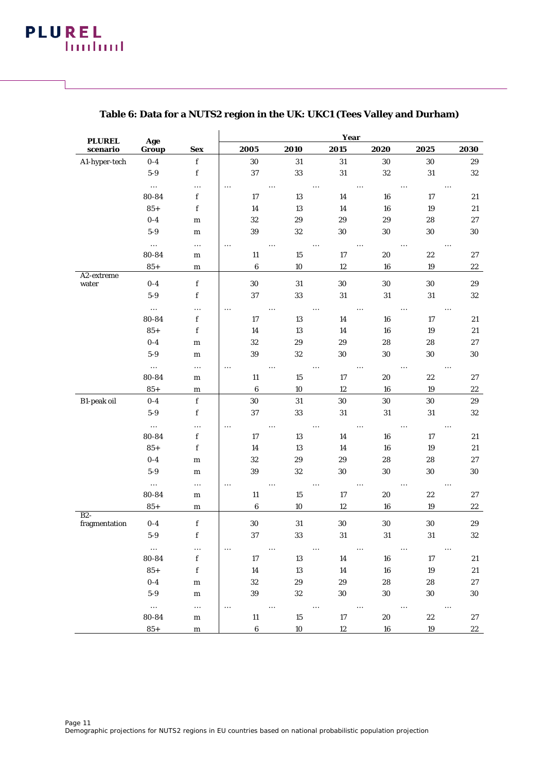| <b>PLUREL</b>       | Age               |                            | Year             |                    |                    |                       |                    |                   |  |  |
|---------------------|-------------------|----------------------------|------------------|--------------------|--------------------|-----------------------|--------------------|-------------------|--|--|
| scenario            | Group             | <b>Sex</b>                 | 2005             | 2010               | 2015               | 2020                  | 2025               | 2030              |  |  |
| A1-hyper-tech       | $0-4$             | $\mathbf f$                | $30\,$           | $31\,$             | $31\,$             | 30                    | 30                 | 29                |  |  |
|                     | $5-9$             | $\mathbf f$                | 37               | 33                 | $31\,$             | $32\,$                | 31                 | 32                |  |  |
|                     | $\cdots$          |                            | $\cdots$         | $\ldots$           |                    | $\ldots$              | $\ldots$           | $\ldots$          |  |  |
|                     | 80-84             | $\mathbf f$                | 17               | 13                 | 14                 | 16                    | 17                 | 21                |  |  |
|                     | $85+$             | f                          | 14               | 13                 | 14                 | 16                    | 19                 | 21                |  |  |
|                     | $0-4$             | ${\bf m}$                  | 32               | $\bf 29$           | 29                 | 29                    | 28                 | $\bf 27$          |  |  |
|                     | $5-9$             | ${\bf m}$                  | 39               | 32                 | 30                 | 30                    | 30                 | $30\,$            |  |  |
|                     | $\cdots$          |                            | $\cdots$         |                    |                    | $\cdots$              |                    | $\ddotsc$         |  |  |
|                     | 80-84             | ${\bf m}$                  | 11               | $15\,$             | 17                 | 20                    | 22                 | 27                |  |  |
|                     | $85+$             | ${\bf m}$                  | $\bf 6$          | $10\,$             | 12                 | 16                    | 19                 | 22                |  |  |
| A2-extreme<br>water | $0-4$             | $\mathbf f$                | 30               | 31                 | 30                 | 30                    | 30                 | 29                |  |  |
|                     | $5-9$             | $\mathbf f$                | 37               | 33                 | 31                 | 31                    | 31                 | 32                |  |  |
|                     | $\cdots$          |                            | $\cdots$         | $\cdots$           | $\cdots$           | $\cdots$              | $\cdots$           | $\ldots$          |  |  |
|                     | 80-84             | $\mathbf f$                | 17               | 13                 | 14                 | ${\bf 16}$            | 17                 | 21                |  |  |
|                     | $85+$             | $\mathbf f$                | 14               | 13                 | 14                 | 16                    | 19                 | 21                |  |  |
|                     | $0-4$             | ${\bf m}$                  | $32\,$           | 29                 | 29                 | 28                    | 28                 | 27                |  |  |
|                     | $5-9$             | m                          | 39               | 32                 | 30                 | 30                    | 30                 | 30                |  |  |
|                     | $\cdots$          | $\ldots$                   | $\ldots$         | $\ldots$           |                    | $\cdots$              |                    | $\ldots$          |  |  |
|                     | 80-84             | m                          | 11               | 15                 | 17                 | 20                    | 22                 | 27                |  |  |
|                     | $85+$             | ${\bf m}$                  | $\bf 6$          | $10\,$             | 12                 | ${\bf 16}$            | 19                 | $22\,$            |  |  |
| B1-peak oil         | $0-4$             | $\mathbf f$                | 30               | $31\,$             | 30                 | 30                    | $30\,$             | $\boldsymbol{29}$ |  |  |
|                     | $5-9$             | $\mathbf f$                | 37               | 33                 | 31                 | 31                    | 31                 | 32                |  |  |
|                     | $\cdots$          |                            | $\cdots$         | $\cdots$           |                    | $\ldots$              | $\ldots$           | $\ldots$          |  |  |
|                     | 80-84             | $\mathbf f$                | 17               | 13                 | 14                 | 16                    | 17                 | 21                |  |  |
|                     | $85+$             | f                          | 14               | 13                 | 14                 | 16                    | 19                 | $\bf 21$          |  |  |
|                     | $0-4$             | ${\bf m}$                  | 32               | 29                 | 29                 | 28                    | 28                 | $\bf 27$          |  |  |
|                     | $5-9$             | ${\bf m}$                  | 39               | 32                 | 30                 | 30                    | 30                 | $30\,$            |  |  |
|                     | $\cdots$          |                            | $\cdots$         | $\ldots$           |                    | $\ldots$              |                    |                   |  |  |
|                     | 80-84             | ${\bf m}$                  | $11\,$           | $15\,$             | $17\,$             | $20\,$                | 22                 | 27                |  |  |
|                     | $85+$             | ${\bf m}$                  | $\boldsymbol{6}$ | $10\,$             | 12                 | 16                    | 19                 | $22\,$            |  |  |
| $B2-$               |                   |                            |                  |                    |                    |                       |                    |                   |  |  |
| fragmentation       | $0-4$<br>$5-9$    | $\mathbf f$<br>$\mathbf f$ | $30\,$<br>37     | $31\,$             | $30\,$             | $30\,$                | $30\,$             | $\bf 29$          |  |  |
|                     |                   |                            |                  | 33                 | 31                 | 31                    | 31                 | 32                |  |  |
|                     | $\ldots$          |                            | $\ldots$         | $\cdots$           |                    |                       |                    | $\cdots$          |  |  |
|                     | 80-84             | $\mathbf f$                | 17               | 13                 | 14                 | 16                    | 17                 | 21                |  |  |
|                     | $85+$<br>$0-4$    | f                          | $14\,$<br>32     | 13<br>29           | 14<br>29           | 16<br>28              | $19\,$<br>28       | $21\,$<br>27      |  |  |
|                     |                   | m                          |                  |                    |                    |                       |                    |                   |  |  |
|                     | $5-9$             | ${\bf m}$                  | 39               | 32                 | 30                 | 30                    | 30                 | 30                |  |  |
|                     | $\cdots$<br>80-84 | $\ldots$                   | $\cdots$         | $\ldots$<br>$15\,$ | $\ldots$<br>$17\,$ | $\ldots$<br>$\bf{20}$ | $\ldots$<br>$22\,$ | $\cdots$          |  |  |
|                     |                   | ${\bf m}$                  | 11<br>$\bf 6$    | 10                 |                    | 16                    | 19                 | 27                |  |  |
|                     | $85+$             | ${\bf m}$                  |                  |                    | 12                 |                       |                    | 22                |  |  |

#### **Table 6: Data for a NUTS2 region in the UK: UKC1 (Tees Valley and Durham)**

l.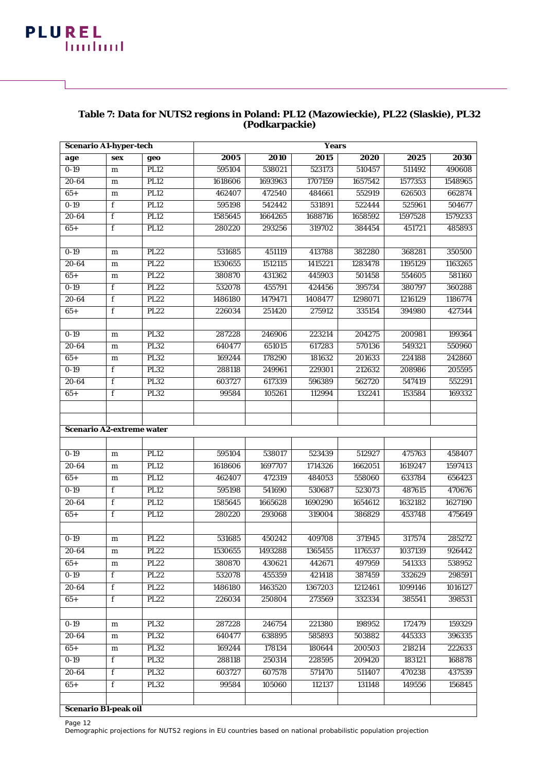### **PLUREL building**

#### **Table 7: Data for NUTS2 regions in Poland: PL12 (Mazowieckie), PL22 (Slaskie), PL32 (Podkarpackie)**

| <b>Scenario A1-hyper-tech</b>    |             |             |         | <b>Years</b> |         |         |         |         |
|----------------------------------|-------------|-------------|---------|--------------|---------|---------|---------|---------|
| age                              | <b>sex</b>  | geo         | 2005    | 2010         | 2015    | 2020    | 2025    | 2030    |
| $0-19$                           | ${\bf m}$   | PL12        | 595104  | 538021       | 523173  | 510457  | 511492  | 490608  |
| $20 - 64$                        | ${\bf m}$   | <b>PL12</b> | 1618606 | 1693963      | 1707159 | 1657542 | 1577353 | 1548965 |
| $65+$                            | m           | <b>PL12</b> | 462407  | 472540       | 484661  | 552919  | 626503  | 662874  |
| $0-19$                           | f           | <b>PL12</b> | 595198  | 542442       | 531891  | 522444  | 525961  | 504677  |
| $20 - 64$                        | f           | <b>PL12</b> | 1585645 | 1664265      | 1688716 | 1658592 | 1597528 | 1579233 |
| $65+$                            | f           | <b>PL12</b> | 280220  | 293256       | 319702  | 384454  | 451721  | 485893  |
|                                  |             |             |         |              |         |         |         |         |
| $0 - 19$                         | ${\bf m}$   | <b>PL22</b> | 531685  | 451119       | 413788  | 382280  | 368281  | 350500  |
| $20 - 64$                        | ${\bf m}$   | <b>PL22</b> | 1530655 | 1512115      | 1415221 | 1283478 | 1195129 | 1163265 |
| $65+$                            | ${\bf m}$   | <b>PL22</b> | 380870  | 431362       | 445903  | 501458  | 554605  | 581160  |
| $0-19$                           | f           | <b>PL22</b> | 532078  | 455791       | 424456  | 395734  | 380797  | 360288  |
| 20-64                            | f           | PL22        | 1486180 | 1479471      | 1408477 | 1298071 | 1216129 | 1186774 |
| $65+$                            | f           | PL22        | 226034  | 251420       | 275912  | 335154  | 394980  | 427344  |
|                                  |             |             |         |              |         |         |         |         |
| $0-19$                           | ${\bf m}$   | <b>PL32</b> | 287228  | 246906       | 223214  | 204275  | 200981  | 199364  |
| $20 - 64$                        | ${\bf m}$   | <b>PL32</b> | 640477  | 651015       | 617283  | 570136  | 549321  | 550960  |
| $65+$                            | m           | PL32        | 169244  | 178290       | 181632  | 201633  | 224188  | 242860  |
| $0-19$                           | f           | <b>PL32</b> | 288118  | 249961       | 229301  | 212632  | 208986  | 205595  |
| 20-64                            | f           | <b>PL32</b> | 603727  | 617339       | 596389  | 562720  | 547419  | 552291  |
| $65+$                            | f           | <b>PL32</b> | 99584   | 105261       | 112994  | 132241  | 153584  | 169332  |
|                                  |             |             |         |              |         |         |         |         |
|                                  |             |             |         |              |         |         |         |         |
| <b>Scenario A2-extreme water</b> |             |             |         |              |         |         |         |         |
|                                  |             |             |         |              |         |         |         |         |
| $0 - 19$                         | ${\bf m}$   | <b>PL12</b> | 595104  | 538017       | 523439  | 512927  | 475763  | 458407  |
| 20-64                            | ${\bf m}$   | <b>PL12</b> | 1618606 | 1697707      | 1714326 | 1662051 | 1619247 | 1597413 |
| $65+$                            | ${\bf m}$   | <b>PL12</b> | 462407  | 472319       | 484053  | 558060  | 633784  | 656423  |
| $0-19$                           | f           | <b>PL12</b> | 595198  | 541690       | 530687  | 523073  | 487615  | 470676  |
| 20-64                            | f           | <b>PL12</b> | 1585645 | 1665628      | 1690290 | 1654612 | 1632182 | 1627190 |
| $65+$                            | f           | <b>PL12</b> | 280220  | 293068       | 319004  | 386829  | 453748  | 475649  |
|                                  |             |             |         |              |         |         |         |         |
| $0 - 19$                         | ${\bf m}$   | <b>PL22</b> | 531685  | 450242       | 409708  | 371945  | 317574  | 285272  |
| $20 - 64$                        | m           | <b>PL22</b> | 1530655 | 1493288      | 1365455 | 1176537 | 1037139 | 926442  |
| $65+$                            | m           | <b>PL22</b> | 380870  | 430621       | 442671  | 497959  | 541333  | 538952  |
| $0 - 19$                         | f           | <b>PL22</b> | 532078  | 455359       | 421418  | 387459  | 332629  | 298591  |
| 20-64                            | f           | <b>PL22</b> | 1486180 | 1463520      | 1367203 | 1212461 | 1099146 | 1016127 |
| $65+$                            | f           | <b>PL22</b> | 226034  | 250804       | 273569  | 332334  | 385541  | 398531  |
|                                  |             |             |         |              |         |         |         |         |
| $0 - 19$                         | ${\bf m}$   | <b>PL32</b> | 287228  | 246754       | 221380  | 198952  | 172479  | 159329  |
| 20-64                            | ${\bf m}$   | <b>PL32</b> | 640477  | 638895       | 585893  | 503882  | 445333  | 396335  |
| $65+$                            | ${\bf m}$   | <b>PL32</b> | 169244  | 178134       | 180644  | 200503  | 218214  | 222633  |
| $0-19$                           | f           | <b>PL32</b> | 288118  | 250314       | 228595  | 209420  | 183121  | 168878  |
| 20-64                            | f           | <b>PL32</b> | 603727  | 607578       | 571470  | 511407  | 470238  | 437539  |
| $65+$                            | $\mathbf f$ | <b>PL32</b> | 99584   | 105060       | 112137  | 131148  | 149556  | 156845  |
| Scenario B1-peak oil             |             |             |         |              |         |         |         |         |

Page 12

Demographic projections for NUTS2 regions in EU countries based on national probabilistic population projection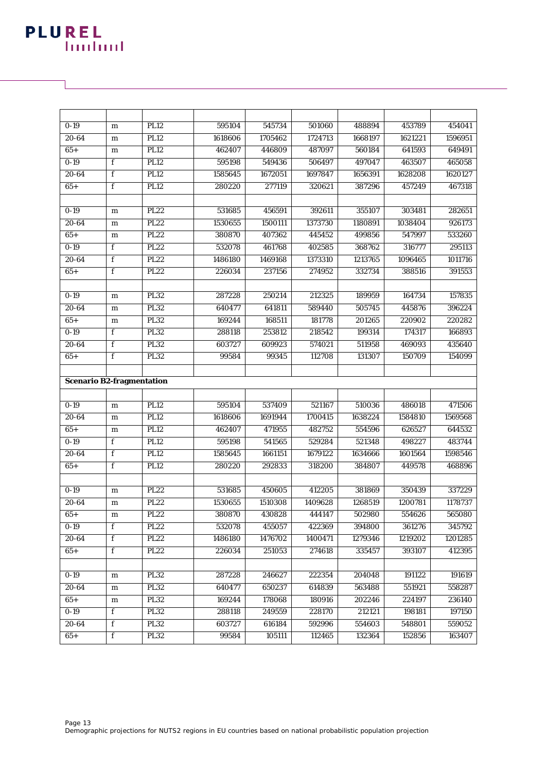| $0 - 19$                         | m            | PL12        | 595104  | 545734  | 501060  | 488894  | 453789  | 454041  |
|----------------------------------|--------------|-------------|---------|---------|---------|---------|---------|---------|
| $20 - 64$                        | ${\bf m}$    | PL12        | 1618606 | 1705462 | 1724713 | 1668197 | 1621221 | 1596951 |
| $65+$                            | m            | <b>PL12</b> | 462407  | 446809  | 487097  | 560184  | 641593  | 649491  |
| $0-19$                           | f            | <b>PL12</b> | 595198  | 549436  | 506497  | 497047  | 463507  | 465058  |
| 20-64                            | f            | <b>PL12</b> | 1585645 | 1672051 | 1697847 | 1656391 | 1628208 | 1620127 |
| $65+$                            | f            | <b>PL12</b> | 280220  | 277119  | 320621  | 387296  | 457249  | 467318  |
|                                  |              |             |         |         |         |         |         |         |
| $0 - 19$                         | m            | <b>PL22</b> | 531685  | 456591  | 392611  | 355107  | 303481  | 282651  |
| $20 - 64$                        | ${\bf m}$    | PL22        | 1530655 | 1500111 | 1373730 | 1180891 | 1038404 | 926173  |
| $65+$                            | m            | <b>PL22</b> | 380870  | 407362  | 445452  | 499856  | 547997  | 533260  |
| $0 - 19$                         | f            | <b>PL22</b> | 532078  | 461768  | 402585  | 368762  | 316777  | 295113  |
| $20 - 64$                        | f            | <b>PL22</b> | 1486180 | 1469168 | 1373310 | 1213765 | 1096465 | 1011716 |
| $65+$                            | f            | <b>PL22</b> | 226034  | 237156  | 274952  | 332734  | 388516  | 391553  |
|                                  |              |             |         |         |         |         |         |         |
| $0 - 19$                         | ${\bf m}$    | <b>PL32</b> | 287228  | 250214  | 212325  | 189959  | 164734  | 157835  |
| $20 - 64$                        | ${\bf m}$    | <b>PL32</b> | 640477  | 641811  | 589440  | 505745  | 445876  | 396224  |
| $65+$                            | ${\bf m}$    | <b>PL32</b> | 169244  | 168511  | 181778  | 201265  | 220902  | 220282  |
| $0-19$                           | f            | PL32        | 288118  | 253812  | 218542  | 199314  | 174317  | 166893  |
| $20 - 64$                        | f            | <b>PL32</b> | 603727  | 609923  | 574021  | 511958  | 469093  | 435640  |
| $65+$                            | f            | <b>PL32</b> | 99584   | 99345   | 112708  | 131307  | 150709  | 154099  |
|                                  |              |             |         |         |         |         |         |         |
| <b>Scenario B2-fragmentation</b> |              |             |         |         |         |         |         |         |
|                                  |              |             |         |         |         |         |         |         |
|                                  |              |             |         |         |         |         |         |         |
| $0 - 19$                         | ${\bf m}$    | PL12        | 595104  | 537409  | 521167  | 510036  | 486018  | 471506  |
| $20 - 64$                        | ${\bf m}$    | <b>PL12</b> | 1618606 | 1691944 | 1700415 | 1638224 | 1584810 | 1569568 |
| $65+$                            | m            | PL12        | 462407  | 471955  | 482752  | 554596  | 626527  | 644532  |
| $0-19$                           | $\mathbf f$  | PL12        | 595198  | 541565  | 529284  | 521348  | 498227  | 483744  |
| $20 - 64$                        | $\mathbf f$  | PL12        | 1585645 | 1661151 | 1679122 | 1634666 | 1601564 | 1598546 |
| $65+$                            | f            | <b>PL12</b> | 280220  | 292833  | 318200  | 384807  | 449578  | 468896  |
|                                  |              |             |         |         |         |         |         |         |
| $0 - 19$                         | m            | <b>PL22</b> | 531685  | 450605  | 412205  | 381869  | 350439  | 337229  |
| $20 - 64$                        | ${\bf m}$    | <b>PL22</b> | 1530655 | 1510308 | 1409628 | 1268519 | 1200781 | 1178737 |
| $65+$                            | m            | <b>PL22</b> | 380870  | 430828  | 444147  | 502980  | 554626  | 565080  |
| $0 - 19$                         | $\mathbf{f}$ | <b>PL22</b> | 532078  | 455057  | 422369  | 394800  | 361276  | 345792  |
| 20-64                            | f            | <b>PL22</b> | 1486180 | 1476702 | 1400471 | 1279346 | 1219202 | 1201285 |
| $65+$                            | $\mathbf f$  | <b>PL22</b> | 226034  | 251053  | 274618  | 335457  | 393107  | 412395  |
|                                  |              |             |         |         |         |         |         |         |
| $0 - 19$                         | ${\bf m}$    | <b>PL32</b> | 287228  | 246627  | 222354  | 204048  | 191122  | 191619  |
| 20-64                            | ${\bf m}$    | <b>PL32</b> | 640477  | 650237  | 614839  | 563488  | 551921  | 558287  |
| $65+$                            | m            | <b>PL32</b> | 169244  | 178068  | 180916  | 202246  | 224197  | 236140  |
| $0 - 19$                         | f            | <b>PL32</b> | 288118  | 249559  | 228170  | 212121  | 198181  | 197150  |
| $20 - 64$                        | f            | <b>PL32</b> | 603727  | 616184  | 592996  | 554603  | 548801  | 559052  |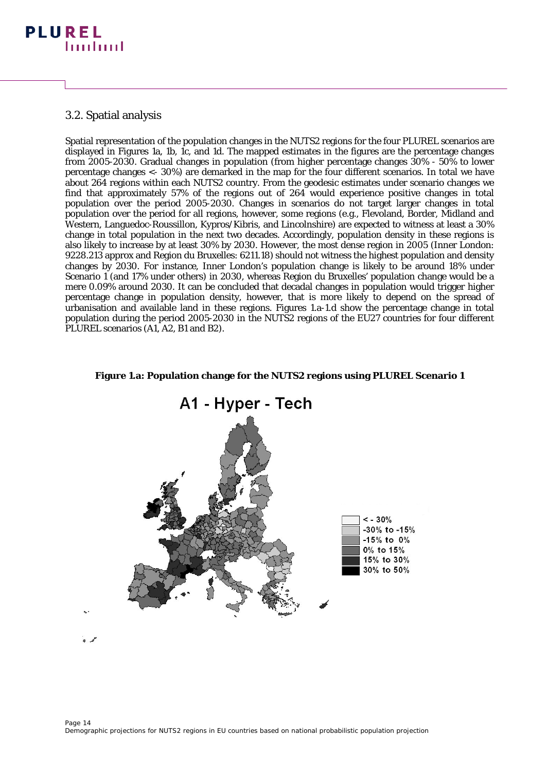#### 3.2. Spatial analysis

Spatial representation of the population changes in the NUTS2 regions for the four PLUREL scenarios are displayed in Figures 1a, 1b, 1c, and 1d. The mapped estimates in the figures are the percentage changes from 2005-2030. Gradual changes in population (from higher percentage changes 30% - 50% to lower percentage changes <- 30%) are demarked in the map for the four different scenarios. In total we have about 264 regions within each NUTS2 country. From the geodesic estimates under scenario changes we find that approximately 57% of the regions out of 264 would experience positive changes in total population over the period 2005-2030. Changes in scenarios do not target larger changes in total population over the period for all regions, however, some regions (e.g., Flevoland, Border, Midland and Western, Languedoc-Roussillon, Kypros/Kibris, and Lincolnshire) are expected to witness at least a 30% change in total population in the next two decades. Accordingly, population density in these regions is also likely to increase by at least 30% by 2030. However, the most dense region in 2005 (Inner London: 9228.213 approx and Region du Bruxelles: 6211.18) should not witness the highest population and density changes by 2030. For instance, Inner London's population change is likely to be around 18% under Scenario 1 (and 17% under others) in 2030, whereas Region du Bruxelles' population change would be a mere 0.09% around 2030. It can be concluded that decadal changes in population would trigger higher percentage change in population density, however, that is more likely to depend on the spread of urbanisation and available land in these regions. Figures 1.a-1.d show the percentage change in total population during the period 2005-2030 in the NUTS2 regions of the EU27 countries for four different PLUREL scenarios (A1, A2, B1 and B2).



#### **Figure 1.a: Population change for the NUTS2 regions using PLUREL Scenario 1**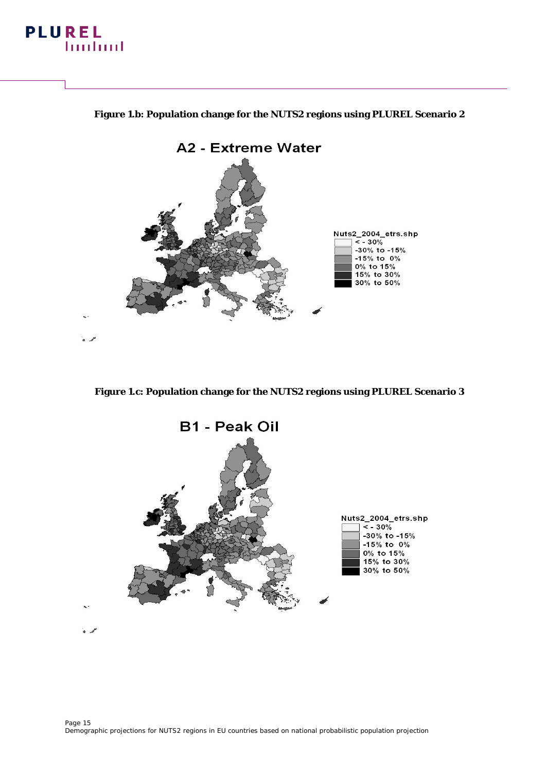#### **PLUREL building**

#### **Figure 1.b: Population change for the NUTS2 regions using PLUREL Scenario 2**



**Figure 1.c: Population change for the NUTS2 regions using PLUREL Scenario 3**